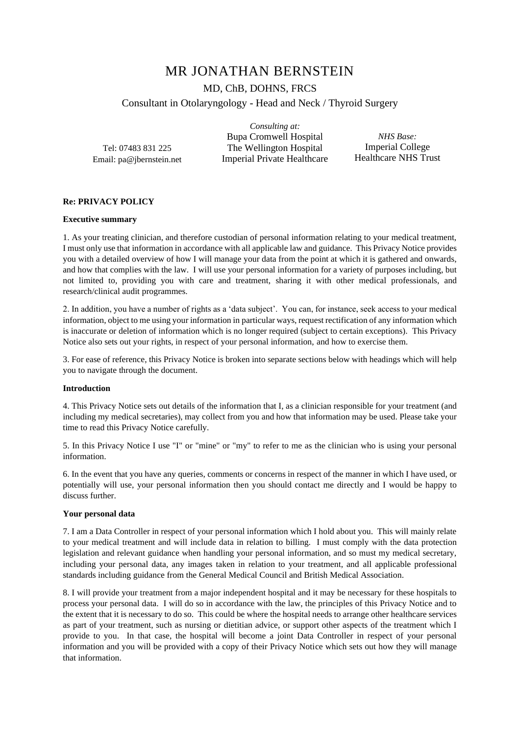# MR JONATHAN BERNSTEIN

MD, ChB, DOHNS, FRCS

Consultant in Otolaryngology - Head and Neck / Thyroid Surgery

Tel: 07483 831 225 Email: pa@jbernstein.net

*Consulting at:* Bupa Cromwell Hospital The Wellington Hospital Imperial Private Healthcare

*NHS Base:*  Imperial College Healthcare NHS Trust

# **Re: PRIVACY POLICY**

# **Executive summary**

1. As your treating clinician, and therefore custodian of personal information relating to your medical treatment, I must only use that information in accordance with all applicable law and guidance. This Privacy Notice provides you with a detailed overview of how I will manage your data from the point at which it is gathered and onwards, and how that complies with the law. I will use your personal information for a variety of purposes including, but not limited to, providing you with care and treatment, sharing it with other medical professionals, and research/clinical audit programmes.

2. In addition, you have a number of rights as a 'data subject'. You can, for instance, seek access to your medical information, object to me using your information in particular ways, request rectification of any information which is inaccurate or deletion of information which is no longer required (subject to certain exceptions). This Privacy Notice also sets out your rights, in respect of your personal information, and how to exercise them.

3. For ease of reference, this Privacy Notice is broken into separate sections below with headings which will help you to navigate through the document.

## **Introduction**

4. This Privacy Notice sets out details of the information that I, as a clinician responsible for your treatment (and including my medical secretaries), may collect from you and how that information may be used. Please take your time to read this Privacy Notice carefully.

5. In this Privacy Notice I use "I" or "mine" or "my" to refer to me as the clinician who is using your personal information.

6. In the event that you have any queries, comments or concerns in respect of the manner in which I have used, or potentially will use, your personal information then you should contact me directly and I would be happy to discuss further.

## **Your personal data**

7. I am a Data Controller in respect of your personal information which I hold about you. This will mainly relate to your medical treatment and will include data in relation to billing. I must comply with the data protection legislation and relevant guidance when handling your personal information, and so must my medical secretary, including your personal data, any images taken in relation to your treatment, and all applicable professional standards including guidance from the General Medical Council and British Medical Association.

8. I will provide your treatment from a major independent hospital and it may be necessary for these hospitals to process your personal data. I will do so in accordance with the law, the principles of this Privacy Notice and to the extent that it is necessary to do so. This could be where the hospital needs to arrange other healthcare services as part of your treatment, such as nursing or dietitian advice, or support other aspects of the treatment which I provide to you. In that case, the hospital will become a joint Data Controller in respect of your personal information and you will be provided with a copy of their Privacy Notice which sets out how they will manage that information.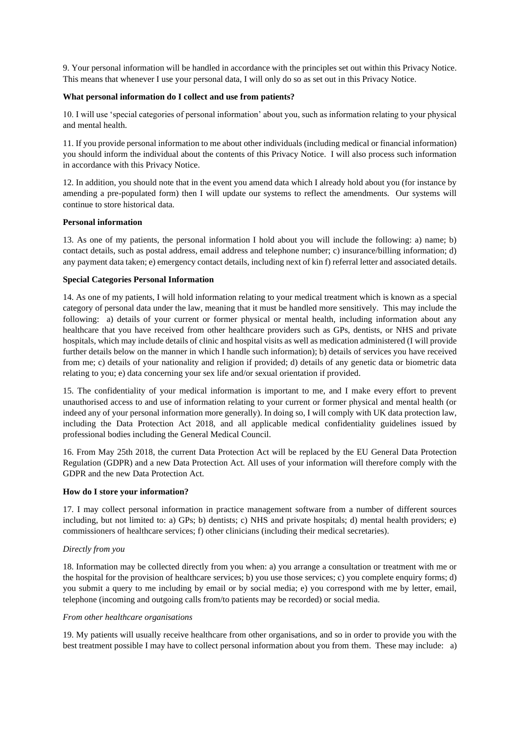9. Your personal information will be handled in accordance with the principles set out within this Privacy Notice. This means that whenever I use your personal data, I will only do so as set out in this Privacy Notice.

# **What personal information do I collect and use from patients?**

10. I will use 'special categories of personal information' about you, such as information relating to your physical and mental health.

11. If you provide personal information to me about other individuals (including medical or financial information) you should inform the individual about the contents of this Privacy Notice. I will also process such information in accordance with this Privacy Notice.

12. In addition, you should note that in the event you amend data which I already hold about you (for instance by amending a pre-populated form) then I will update our systems to reflect the amendments. Our systems will continue to store historical data.

# **Personal information**

13. As one of my patients, the personal information I hold about you will include the following: a) name; b) contact details, such as postal address, email address and telephone number; c) insurance/billing information; d) any payment data taken; e) emergency contact details, including next of kin f) referral letter and associated details.

## **Special Categories Personal Information**

14. As one of my patients, I will hold information relating to your medical treatment which is known as a special category of personal data under the law, meaning that it must be handled more sensitively. This may include the following: a) details of your current or former physical or mental health, including information about any healthcare that you have received from other healthcare providers such as GPs, dentists, or NHS and private hospitals, which may include details of clinic and hospital visits as well as medication administered (I will provide further details below on the manner in which I handle such information); b) details of services you have received from me; c) details of your nationality and religion if provided; d) details of any genetic data or biometric data relating to you; e) data concerning your sex life and/or sexual orientation if provided.

15. The confidentiality of your medical information is important to me, and I make every effort to prevent unauthorised access to and use of information relating to your current or former physical and mental health (or indeed any of your personal information more generally). In doing so, I will comply with UK data protection law, including the Data Protection Act 2018, and all applicable medical confidentiality guidelines issued by professional bodies including the General Medical Council.

16. From May 25th 2018, the current Data Protection Act will be replaced by the EU General Data Protection Regulation (GDPR) and a new Data Protection Act. All uses of your information will therefore comply with the GDPR and the new Data Protection Act.

## **How do I store your information?**

17. I may collect personal information in practice management software from a number of different sources including, but not limited to: a) GPs; b) dentists; c) NHS and private hospitals; d) mental health providers; e) commissioners of healthcare services; f) other clinicians (including their medical secretaries).

# *Directly from you*

18. Information may be collected directly from you when: a) you arrange a consultation or treatment with me or the hospital for the provision of healthcare services; b) you use those services; c) you complete enquiry forms; d) you submit a query to me including by email or by social media; e) you correspond with me by letter, email, telephone (incoming and outgoing calls from/to patients may be recorded) or social media.

## *From other healthcare organisations*

19. My patients will usually receive healthcare from other organisations, and so in order to provide you with the best treatment possible I may have to collect personal information about you from them. These may include: a)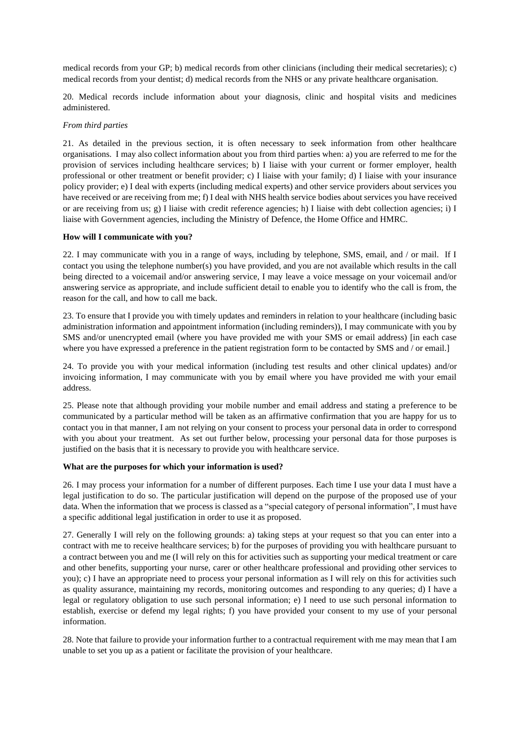medical records from your GP; b) medical records from other clinicians (including their medical secretaries); c) medical records from your dentist; d) medical records from the NHS or any private healthcare organisation.

20. Medical records include information about your diagnosis, clinic and hospital visits and medicines administered.

## *From third parties*

21. As detailed in the previous section, it is often necessary to seek information from other healthcare organisations. I may also collect information about you from third parties when: a) you are referred to me for the provision of services including healthcare services; b) I liaise with your current or former employer, health professional or other treatment or benefit provider; c) I liaise with your family; d) I liaise with your insurance policy provider; e) I deal with experts (including medical experts) and other service providers about services you have received or are receiving from me; f) I deal with NHS health service bodies about services you have received or are receiving from us; g) I liaise with credit reference agencies; h) I liaise with debt collection agencies; i) I liaise with Government agencies, including the Ministry of Defence, the Home Office and HMRC.

## **How will I communicate with you?**

22. I may communicate with you in a range of ways, including by telephone, SMS, email, and / or mail. If I contact you using the telephone number(s) you have provided, and you are not available which results in the call being directed to a voicemail and/or answering service, I may leave a voice message on your voicemail and/or answering service as appropriate, and include sufficient detail to enable you to identify who the call is from, the reason for the call, and how to call me back.

23. To ensure that I provide you with timely updates and reminders in relation to your healthcare (including basic administration information and appointment information (including reminders)), I may communicate with you by SMS and/or unencrypted email (where you have provided me with your SMS or email address) [in each case where you have expressed a preference in the patient registration form to be contacted by SMS and / or email.]

24. To provide you with your medical information (including test results and other clinical updates) and/or invoicing information, I may communicate with you by email where you have provided me with your email address.

25. Please note that although providing your mobile number and email address and stating a preference to be communicated by a particular method will be taken as an affirmative confirmation that you are happy for us to contact you in that manner, I am not relying on your consent to process your personal data in order to correspond with you about your treatment. As set out further below, processing your personal data for those purposes is justified on the basis that it is necessary to provide you with healthcare service.

## **What are the purposes for which your information is used?**

26. I may process your information for a number of different purposes. Each time I use your data I must have a legal justification to do so. The particular justification will depend on the purpose of the proposed use of your data. When the information that we process is classed as a "special category of personal information", I must have a specific additional legal justification in order to use it as proposed.

27. Generally I will rely on the following grounds: a) taking steps at your request so that you can enter into a contract with me to receive healthcare services; b) for the purposes of providing you with healthcare pursuant to a contract between you and me (I will rely on this for activities such as supporting your medical treatment or care and other benefits, supporting your nurse, carer or other healthcare professional and providing other services to you); c) I have an appropriate need to process your personal information as I will rely on this for activities such as quality assurance, maintaining my records, monitoring outcomes and responding to any queries; d) I have a legal or regulatory obligation to use such personal information; e) I need to use such personal information to establish, exercise or defend my legal rights; f) you have provided your consent to my use of your personal information.

28. Note that failure to provide your information further to a contractual requirement with me may mean that I am unable to set you up as a patient or facilitate the provision of your healthcare.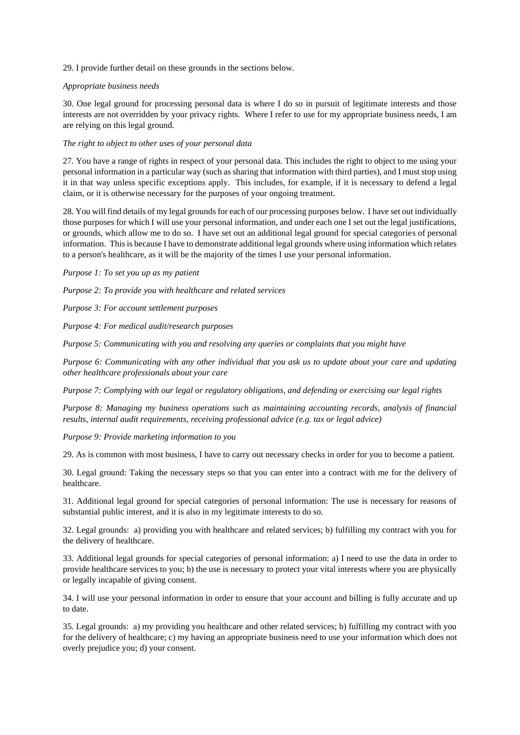29. I provide further detail on these grounds in the sections below.

# *Appropriate business needs*

30. One legal ground for processing personal data is where I do so in pursuit of legitimate interests and those interests are not overridden by your privacy rights. Where I refer to use for my appropriate business needs, I am are relying on this legal ground.

# *The right to object to other uses of your personal data*

27. You have a range of rights in respect of your personal data. This includes the right to object to me using your personal information in a particular way (such as sharing that information with third parties), and I must stop using it in that way unless specific exceptions apply. This includes, for example, if it is necessary to defend a legal claim, or it is otherwise necessary for the purposes of your ongoing treatment.

28. You will find details of my legal grounds for each of our processing purposes below. I have set out individually those purposes for which I will use your personal information, and under each one I set out the legal justifications, or grounds, which allow me to do so. I have set out an additional legal ground for special categories of personal information. This is because I have to demonstrate additional legal grounds where using information which relates to a person's healthcare, as it will be the majority of the times I use your personal information.

*Purpose 1: To set you up as my patient* 

*Purpose 2: To provide you with healthcare and related services* 

*Purpose 3: For account settlement purposes* 

*Purpose 4: For medical audit/research purposes* 

*Purpose 5: Communicating with you and resolving any queries or complaints that you might have* 

*Purpose 6: Communicating with any other individual that you ask us to update about your care and updating other healthcare professionals about your care*

*Purpose 7: Complying with our legal or regulatory obligations, and defending or exercising our legal rights* 

*Purpose 8: Managing my business operations such as maintaining accounting records, analysis of financial results, internal audit requirements, receiving professional advice (e.g. tax or legal advice)*

*Purpose 9: Provide marketing information to you* 

29. As is common with most business, I have to carry out necessary checks in order for you to become a patient.

30. Legal ground: Taking the necessary steps so that you can enter into a contract with me for the delivery of healthcare.

31. Additional legal ground for special categories of personal information: The use is necessary for reasons of substantial public interest, and it is also in my legitimate interests to do so.

32. Legal grounds: a) providing you with healthcare and related services; b) fulfilling my contract with you for the delivery of healthcare.

33. Additional legal grounds for special categories of personal information: a) I need to use the data in order to provide healthcare services to you; b) the use is necessary to protect your vital interests where you are physically or legally incapable of giving consent.

34. I will use your personal information in order to ensure that your account and billing is fully accurate and up to date.

35. Legal grounds: a) my providing you healthcare and other related services; b) fulfilling my contract with you for the delivery of healthcare; c) my having an appropriate business need to use your information which does not overly prejudice you; d) your consent.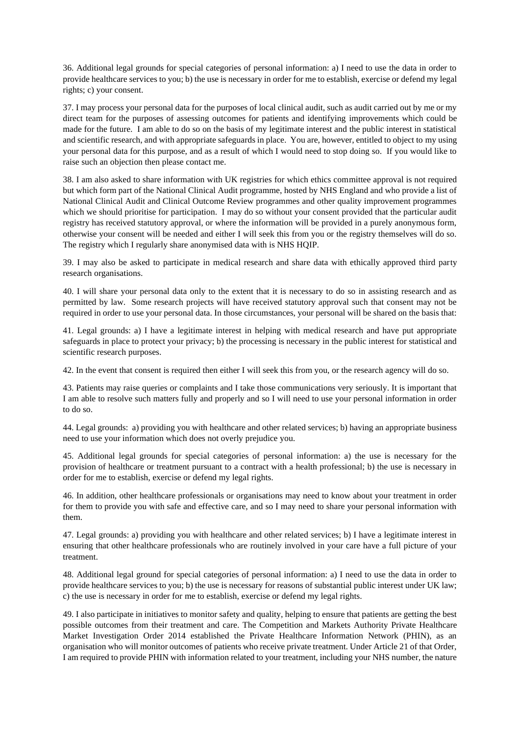36. Additional legal grounds for special categories of personal information: a) I need to use the data in order to provide healthcare services to you; b) the use is necessary in order for me to establish, exercise or defend my legal rights; c) your consent.

37. I may process your personal data for the purposes of local clinical audit, such as audit carried out by me or my direct team for the purposes of assessing outcomes for patients and identifying improvements which could be made for the future. I am able to do so on the basis of my legitimate interest and the public interest in statistical and scientific research, and with appropriate safeguards in place. You are, however, entitled to object to my using your personal data for this purpose, and as a result of which I would need to stop doing so. If you would like to raise such an objection then please contact me.

38. I am also asked to share information with UK registries for which ethics committee approval is not required but which form part of the National Clinical Audit programme, hosted by NHS England and who provide a list of National Clinical Audit and Clinical Outcome Review programmes and other quality improvement programmes which we should prioritise for participation. I may do so without your consent provided that the particular audit registry has received statutory approval, or where the information will be provided in a purely anonymous form, otherwise your consent will be needed and either I will seek this from you or the registry themselves will do so. The registry which I regularly share anonymised data with is NHS HQIP.

39. I may also be asked to participate in medical research and share data with ethically approved third party research organisations.

40. I will share your personal data only to the extent that it is necessary to do so in assisting research and as permitted by law. Some research projects will have received statutory approval such that consent may not be required in order to use your personal data. In those circumstances, your personal will be shared on the basis that:

41. Legal grounds: a) I have a legitimate interest in helping with medical research and have put appropriate safeguards in place to protect your privacy; b) the processing is necessary in the public interest for statistical and scientific research purposes.

42. In the event that consent is required then either I will seek this from you, or the research agency will do so.

43. Patients may raise queries or complaints and I take those communications very seriously. It is important that I am able to resolve such matters fully and properly and so I will need to use your personal information in order to do so.

44. Legal grounds: a) providing you with healthcare and other related services; b) having an appropriate business need to use your information which does not overly prejudice you.

45. Additional legal grounds for special categories of personal information: a) the use is necessary for the provision of healthcare or treatment pursuant to a contract with a health professional; b) the use is necessary in order for me to establish, exercise or defend my legal rights.

46. In addition, other healthcare professionals or organisations may need to know about your treatment in order for them to provide you with safe and effective care, and so I may need to share your personal information with them.

47. Legal grounds: a) providing you with healthcare and other related services; b) I have a legitimate interest in ensuring that other healthcare professionals who are routinely involved in your care have a full picture of your treatment.

48. Additional legal ground for special categories of personal information: a) I need to use the data in order to provide healthcare services to you; b) the use is necessary for reasons of substantial public interest under UK law; c) the use is necessary in order for me to establish, exercise or defend my legal rights.

49. I also participate in initiatives to monitor safety and quality, helping to ensure that patients are getting the best possible outcomes from their treatment and care. The Competition and Markets Authority Private Healthcare Market Investigation Order 2014 established the Private Healthcare Information Network (PHIN), as an organisation who will monitor outcomes of patients who receive private treatment. Under Article 21 of that Order, I am required to provide PHIN with information related to your treatment, including your NHS number, the nature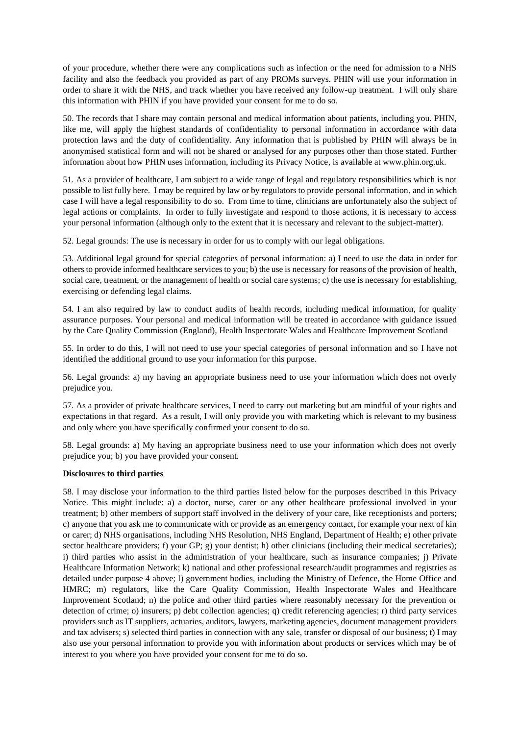of your procedure, whether there were any complications such as infection or the need for admission to a NHS facility and also the feedback you provided as part of any PROMs surveys. PHIN will use your information in order to share it with the NHS, and track whether you have received any follow-up treatment. I will only share this information with PHIN if you have provided your consent for me to do so.

50. The records that I share may contain personal and medical information about patients, including you. PHIN, like me, will apply the highest standards of confidentiality to personal information in accordance with data protection laws and the duty of confidentiality. Any information that is published by PHIN will always be in anonymised statistical form and will not be shared or analysed for any purposes other than those stated. Further information about how PHIN uses information, including its Privacy Notice, is available at www.phin.org.uk.

51. As a provider of healthcare, I am subject to a wide range of legal and regulatory responsibilities which is not possible to list fully here. I may be required by law or by regulators to provide personal information, and in which case I will have a legal responsibility to do so. From time to time, clinicians are unfortunately also the subject of legal actions or complaints. In order to fully investigate and respond to those actions, it is necessary to access your personal information (although only to the extent that it is necessary and relevant to the subject-matter).

52. Legal grounds: The use is necessary in order for us to comply with our legal obligations.

53. Additional legal ground for special categories of personal information: a) I need to use the data in order for others to provide informed healthcare services to you; b) the use is necessary for reasons of the provision of health, social care, treatment, or the management of health or social care systems; c) the use is necessary for establishing, exercising or defending legal claims.

54. I am also required by law to conduct audits of health records, including medical information, for quality assurance purposes. Your personal and medical information will be treated in accordance with guidance issued by the Care Quality Commission (England), Health Inspectorate Wales and Healthcare Improvement Scotland

55. In order to do this, I will not need to use your special categories of personal information and so I have not identified the additional ground to use your information for this purpose.

56. Legal grounds: a) my having an appropriate business need to use your information which does not overly prejudice you.

57. As a provider of private healthcare services, I need to carry out marketing but am mindful of your rights and expectations in that regard. As a result, I will only provide you with marketing which is relevant to my business and only where you have specifically confirmed your consent to do so.

58. Legal grounds: a) My having an appropriate business need to use your information which does not overly prejudice you; b) you have provided your consent.

## **Disclosures to third parties**

58. I may disclose your information to the third parties listed below for the purposes described in this Privacy Notice. This might include: a) a doctor, nurse, carer or any other healthcare professional involved in your treatment; b) other members of support staff involved in the delivery of your care, like receptionists and porters; c) anyone that you ask me to communicate with or provide as an emergency contact, for example your next of kin or carer; d) NHS organisations, including NHS Resolution, NHS England, Department of Health; e) other private sector healthcare providers; f) your GP; g) your dentist; h) other clinicians (including their medical secretaries); i) third parties who assist in the administration of your healthcare, such as insurance companies; j) Private Healthcare Information Network; k) national and other professional research/audit programmes and registries as detailed under purpose 4 above; l) government bodies, including the Ministry of Defence, the Home Office and HMRC; m) regulators, like the Care Quality Commission, Health Inspectorate Wales and Healthcare Improvement Scotland; n) the police and other third parties where reasonably necessary for the prevention or detection of crime; o) insurers; p) debt collection agencies; q) credit referencing agencies; r) third party services providers such as IT suppliers, actuaries, auditors, lawyers, marketing agencies, document management providers and tax advisers; s) selected third parties in connection with any sale, transfer or disposal of our business; t) I may also use your personal information to provide you with information about products or services which may be of interest to you where you have provided your consent for me to do so.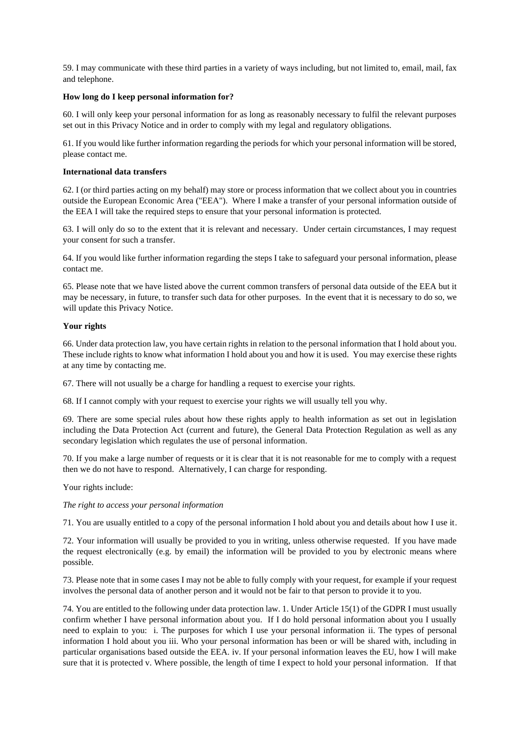59. I may communicate with these third parties in a variety of ways including, but not limited to, email, mail, fax and telephone.

## **How long do I keep personal information for?**

60. I will only keep your personal information for as long as reasonably necessary to fulfil the relevant purposes set out in this Privacy Notice and in order to comply with my legal and regulatory obligations.

61. If you would like further information regarding the periods for which your personal information will be stored, please contact me.

## **International data transfers**

62. I (or third parties acting on my behalf) may store or process information that we collect about you in countries outside the European Economic Area ("EEA"). Where I make a transfer of your personal information outside of the EEA I will take the required steps to ensure that your personal information is protected.

63. I will only do so to the extent that it is relevant and necessary. Under certain circumstances, I may request your consent for such a transfer.

64. If you would like further information regarding the steps I take to safeguard your personal information, please contact me.

65. Please note that we have listed above the current common transfers of personal data outside of the EEA but it may be necessary, in future, to transfer such data for other purposes. In the event that it is necessary to do so, we will update this Privacy Notice.

## **Your rights**

66. Under data protection law, you have certain rights in relation to the personal information that I hold about you. These include rights to know what information I hold about you and how it is used. You may exercise these rights at any time by contacting me.

67. There will not usually be a charge for handling a request to exercise your rights.

68. If I cannot comply with your request to exercise your rights we will usually tell you why.

69. There are some special rules about how these rights apply to health information as set out in legislation including the Data Protection Act (current and future), the General Data Protection Regulation as well as any secondary legislation which regulates the use of personal information.

70. If you make a large number of requests or it is clear that it is not reasonable for me to comply with a request then we do not have to respond. Alternatively, I can charge for responding.

Your rights include:

# *The right to access your personal information*

71. You are usually entitled to a copy of the personal information I hold about you and details about how I use it.

72. Your information will usually be provided to you in writing, unless otherwise requested. If you have made the request electronically (e.g. by email) the information will be provided to you by electronic means where possible.

73. Please note that in some cases I may not be able to fully comply with your request, for example if your request involves the personal data of another person and it would not be fair to that person to provide it to you.

74. You are entitled to the following under data protection law. 1. Under Article 15(1) of the GDPR I must usually confirm whether I have personal information about you. If I do hold personal information about you I usually need to explain to you: i. The purposes for which I use your personal information ii. The types of personal information I hold about you iii. Who your personal information has been or will be shared with, including in particular organisations based outside the EEA. iv. If your personal information leaves the EU, how I will make sure that it is protected v. Where possible, the length of time I expect to hold your personal information. If that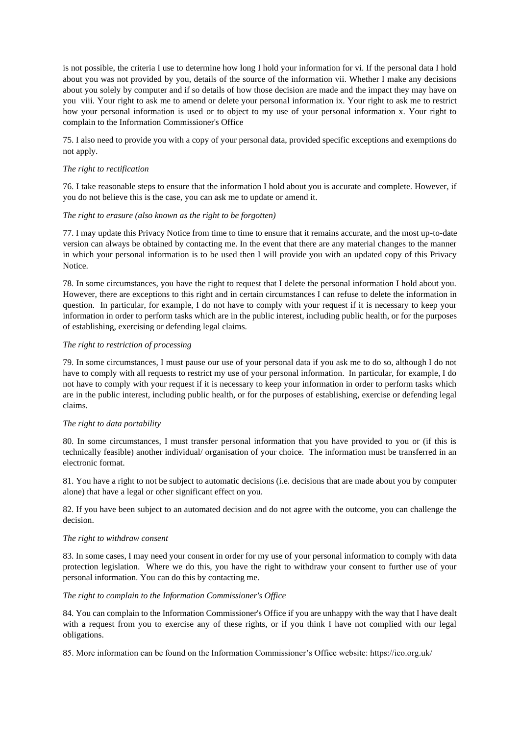is not possible, the criteria I use to determine how long I hold your information for vi. If the personal data I hold about you was not provided by you, details of the source of the information vii. Whether I make any decisions about you solely by computer and if so details of how those decision are made and the impact they may have on you viii. Your right to ask me to amend or delete your personal information ix. Your right to ask me to restrict how your personal information is used or to object to my use of your personal information x. Your right to complain to the Information Commissioner's Office

75. I also need to provide you with a copy of your personal data, provided specific exceptions and exemptions do not apply.

## *The right to rectification*

76. I take reasonable steps to ensure that the information I hold about you is accurate and complete. However, if you do not believe this is the case, you can ask me to update or amend it.

# *The right to erasure (also known as the right to be forgotten)*

77. I may update this Privacy Notice from time to time to ensure that it remains accurate, and the most up-to-date version can always be obtained by contacting me. In the event that there are any material changes to the manner in which your personal information is to be used then I will provide you with an updated copy of this Privacy Notice.

78. In some circumstances, you have the right to request that I delete the personal information I hold about you. However, there are exceptions to this right and in certain circumstances I can refuse to delete the information in question. In particular, for example, I do not have to comply with your request if it is necessary to keep your information in order to perform tasks which are in the public interest, including public health, or for the purposes of establishing, exercising or defending legal claims.

## *The right to restriction of processing*

79. In some circumstances, I must pause our use of your personal data if you ask me to do so, although I do not have to comply with all requests to restrict my use of your personal information. In particular, for example, I do not have to comply with your request if it is necessary to keep your information in order to perform tasks which are in the public interest, including public health, or for the purposes of establishing, exercise or defending legal claims.

# *The right to data portability*

80. In some circumstances, I must transfer personal information that you have provided to you or (if this is technically feasible) another individual/ organisation of your choice. The information must be transferred in an electronic format.

81. You have a right to not be subject to automatic decisions (i.e. decisions that are made about you by computer alone) that have a legal or other significant effect on you.

82. If you have been subject to an automated decision and do not agree with the outcome, you can challenge the decision.

## *The right to withdraw consent*

83. In some cases, I may need your consent in order for my use of your personal information to comply with data protection legislation. Where we do this, you have the right to withdraw your consent to further use of your personal information. You can do this by contacting me.

# *The right to complain to the Information Commissioner's Office*

84. You can complain to the Information Commissioner's Office if you are unhappy with the way that I have dealt with a request from you to exercise any of these rights, or if you think I have not complied with our legal obligations.

85. More information can be found on the Information Commissioner's Office website: https://ico.org.uk/